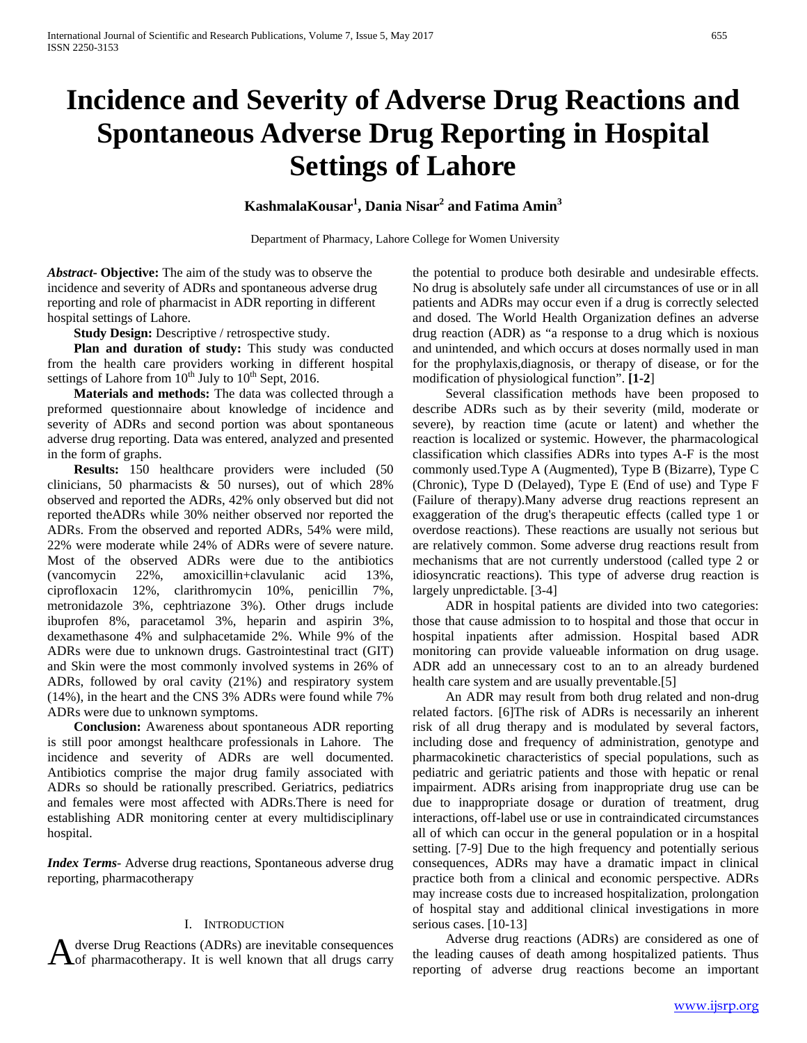# **Incidence and Severity of Adverse Drug Reactions and Spontaneous Adverse Drug Reporting in Hospital Settings of Lahore**

**KashmalaKousar1 , Dania Nisar2 and Fatima Amin<sup>3</sup>**

Department of Pharmacy, Lahore College for Women University

*Abstract***- Objective:** The aim of the study was to observe the incidence and severity of ADRs and spontaneous adverse drug reporting and role of pharmacist in ADR reporting in different hospital settings of Lahore.

 **Study Design:** Descriptive / retrospective study.

 **Plan and duration of study:** This study was conducted from the health care providers working in different hospital settings of Lahore from  $10^{th}$  July to  $10^{th}$  Sept, 2016.

 **Materials and methods:** The data was collected through a preformed questionnaire about knowledge of incidence and severity of ADRs and second portion was about spontaneous adverse drug reporting. Data was entered, analyzed and presented in the form of graphs.

 **Results:** 150 healthcare providers were included (50 clinicians, 50 pharmacists & 50 nurses), out of which 28% observed and reported the ADRs, 42% only observed but did not reported theADRs while 30% neither observed nor reported the ADRs. From the observed and reported ADRs, 54% were mild, 22% were moderate while 24% of ADRs were of severe nature. Most of the observed ADRs were due to the antibiotics (vancomycin 22%, amoxicillin+clavulanic acid 13%, ciprofloxacin 12%, clarithromycin 10%, penicillin 7%, metronidazole 3%, cephtriazone 3%). Other drugs include ibuprofen 8%, paracetamol 3%, heparin and aspirin 3%, dexamethasone 4% and sulphacetamide 2%. While 9% of the ADRs were due to unknown drugs. Gastrointestinal tract (GIT) and Skin were the most commonly involved systems in 26% of ADRs, followed by oral cavity (21%) and respiratory system (14%), in the heart and the CNS 3% ADRs were found while 7% ADRs were due to unknown symptoms.

 **Conclusion:** Awareness about spontaneous ADR reporting is still poor amongst healthcare professionals in Lahore. The incidence and severity of ADRs are well documented. Antibiotics comprise the major drug family associated with ADRs so should be rationally prescribed. Geriatrics, pediatrics and females were most affected with ADRs.There is need for establishing ADR monitoring center at every multidisciplinary hospital.

*Index Terms*- Adverse drug reactions, Spontaneous adverse drug reporting, pharmacotherapy

### I. INTRODUCTION

dverse Drug Reactions (ADRs) are inevitable consequences

the potential to produce both desirable and undesirable effects. No drug is absolutely safe under all circumstances of use or in all patients and ADRs may occur even if a drug is correctly selected and dosed. The World Health Organization defines an adverse drug reaction (ADR) as "a response to a drug which is noxious and unintended, and which occurs at doses normally used in man for the prophylaxis,diagnosis, or therapy of disease, or for the modification of physiological function". **[1-2**]

 Several classification methods have been proposed to describe ADRs such as by their severity (mild, moderate or severe), by reaction time (acute or latent) and whether the reaction is localized or systemic. However, the pharmacological classification which classifies ADRs into types A-F is the most commonly used.Type A (Augmented), Type B (Bizarre), Type C (Chronic), Type D (Delayed), Type E (End of use) and Type F (Failure of therapy).Many adverse drug reactions represent an exaggeration of the drug's therapeutic effects (called type 1 or overdose reactions). These reactions are usually not serious but are relatively common. Some adverse drug reactions result from mechanisms that are not currently understood (called type 2 or idiosyncratic reactions). This type of adverse drug reaction is largely unpredictable. [3-4]

 ADR in hospital patients are divided into two categories: those that cause admission to to hospital and those that occur in hospital inpatients after admission. Hospital based ADR monitoring can provide valueable information on drug usage. ADR add an unnecessary cost to an to an already burdened health care system and are usually preventable.[5]

 An ADR may result from both drug related and non-drug related factors. [6]The risk of ADRs is necessarily an inherent risk of all drug therapy and is modulated by several factors, including dose and frequency of administration, genotype and pharmacokinetic characteristics of special populations, such as pediatric and geriatric patients and those with hepatic or renal impairment. ADRs arising from inappropriate drug use can be due to inappropriate dosage or duration of treatment, drug interactions, off-label use or use in contraindicated circumstances all of which can occur in the general population or in a hospital setting. [7-9] Due to the high frequency and potentially serious consequences, ADRs may have a dramatic impact in clinical practice both from a clinical and economic perspective. ADRs may increase costs due to increased hospitalization, prolongation of hospital stay and additional clinical investigations in more serious cases. [10-13]

A dverse Drug Reactions (ADRs) are inevitable consequences<br>
Adverse drug reactions (ADRs) are considered as one of<br>
the leading causes of death among hospitalized patients. Thus<br>
reporting of adverse drug reactions become Adverse drug reactions (ADRs) are considered as one of reporting of adverse drug reactions become an important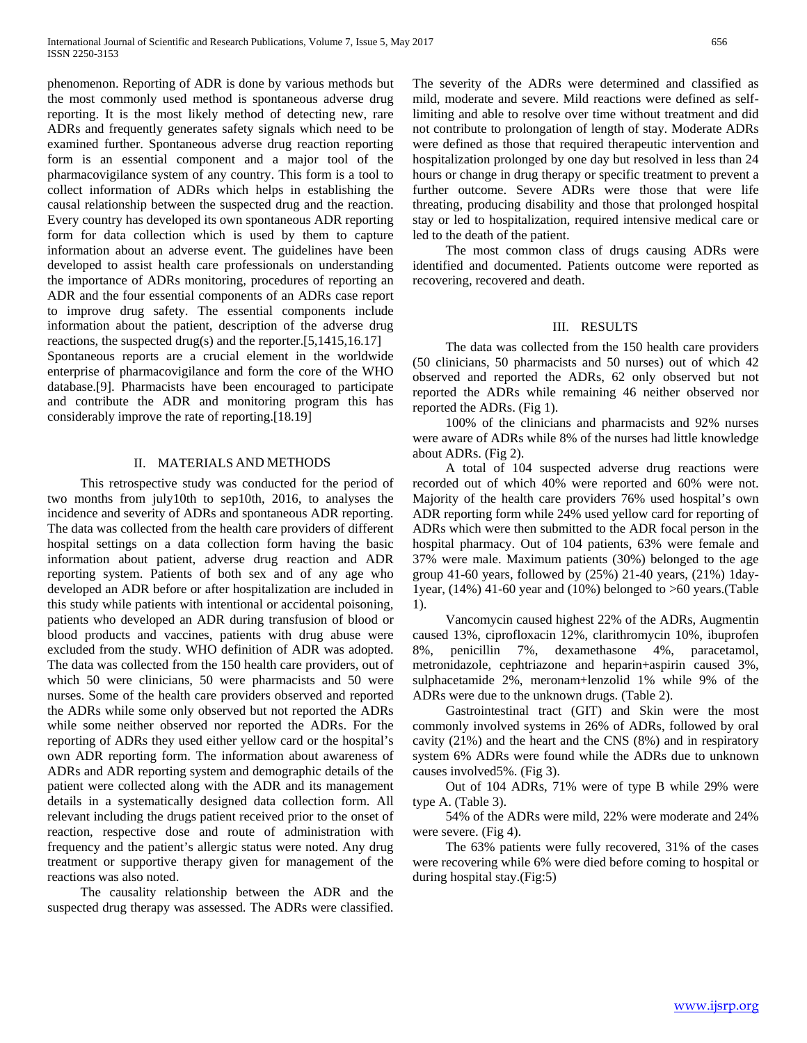phenomenon. Reporting of ADR is done by various methods but the most commonly used method is spontaneous adverse drug reporting. It is the most likely method of detecting new, rare ADRs and frequently generates safety signals which need to be examined further. Spontaneous adverse drug reaction reporting form is an essential component and a major tool of the pharmacovigilance system of any country. This form is a tool to collect information of ADRs which helps in establishing the causal relationship between the suspected drug and the reaction. Every country has developed its own spontaneous ADR reporting form for data collection which is used by them to capture information about an adverse event. The guidelines have been developed to assist health care professionals on understanding the importance of ADRs monitoring, procedures of reporting an ADR and the four essential components of an ADRs case report to improve drug safety. The essential components include information about the patient, description of the adverse drug reactions, the suspected drug(s) and the reporter.[5,1415,16.17] Spontaneous reports are a crucial element in the worldwide enterprise of pharmacovigilance and form the core of the WHO database.[9]. Pharmacists have been encouraged to participate and contribute the ADR and monitoring program this has considerably improve the rate of reporting.[18.19]

#### II. MATERIALS AND METHODS

 This retrospective study was conducted for the period of two months from july10th to sep10th, 2016, to analyses the incidence and severity of ADRs and spontaneous ADR reporting. The data was collected from the health care providers of different hospital settings on a data collection form having the basic information about patient, adverse drug reaction and ADR reporting system. Patients of both sex and of any age who developed an ADR before or after hospitalization are included in this study while patients with intentional or accidental poisoning, patients who developed an ADR during transfusion of blood or blood products and vaccines, patients with drug abuse were excluded from the study. WHO definition of ADR was adopted. The data was collected from the 150 health care providers, out of which 50 were clinicians, 50 were pharmacists and 50 were nurses. Some of the health care providers observed and reported the ADRs while some only observed but not reported the ADRs while some neither observed nor reported the ADRs. For the reporting of ADRs they used either yellow card or the hospital's own ADR reporting form. The information about awareness of ADRs and ADR reporting system and demographic details of the patient were collected along with the ADR and its management details in a systematically designed data collection form. All relevant including the drugs patient received prior to the onset of reaction, respective dose and route of administration with frequency and the patient's allergic status were noted. Any drug treatment or supportive therapy given for management of the reactions was also noted.

 The causality relationship between the ADR and the suspected drug therapy was assessed. The ADRs were classified. The severity of the ADRs were determined and classified as mild, moderate and severe. Mild reactions were defined as selflimiting and able to resolve over time without treatment and did not contribute to prolongation of length of stay. Moderate ADRs were defined as those that required therapeutic intervention and hospitalization prolonged by one day but resolved in less than 24 hours or change in drug therapy or specific treatment to prevent a further outcome. Severe ADRs were those that were life threating, producing disability and those that prolonged hospital stay or led to hospitalization, required intensive medical care or led to the death of the patient.

 The most common class of drugs causing ADRs were identified and documented. Patients outcome were reported as recovering, recovered and death.

#### III. RESULTS

 The data was collected from the 150 health care providers (50 clinicians, 50 pharmacists and 50 nurses) out of which 42 observed and reported the ADRs, 62 only observed but not reported the ADRs while remaining 46 neither observed nor reported the ADRs. (Fig 1).

 100% of the clinicians and pharmacists and 92% nurses were aware of ADRs while 8% of the nurses had little knowledge about ADRs. (Fig 2).

 A total of 104 suspected adverse drug reactions were recorded out of which 40% were reported and 60% were not. Majority of the health care providers 76% used hospital's own ADR reporting form while 24% used yellow card for reporting of ADRs which were then submitted to the ADR focal person in the hospital pharmacy. Out of 104 patients, 63% were female and 37% were male. Maximum patients (30%) belonged to the age group 41-60 years, followed by (25%) 21-40 years, (21%) 1day-1year, (14%) 41-60 year and (10%) belonged to >60 years.(Table 1).

 Vancomycin caused highest 22% of the ADRs, Augmentin caused 13%, ciprofloxacin 12%, clarithromycin 10%, ibuprofen 8%, penicillin 7%, dexamethasone 4%, paracetamol, metronidazole, cephtriazone and heparin+aspirin caused 3%, sulphacetamide 2%, meronam+lenzolid 1% while 9% of the ADRs were due to the unknown drugs. (Table 2).

 Gastrointestinal tract (GIT) and Skin were the most commonly involved systems in 26% of ADRs, followed by oral cavity (21%) and the heart and the CNS (8%) and in respiratory system 6% ADRs were found while the ADRs due to unknown causes involved5%. (Fig 3).

 Out of 104 ADRs, 71% were of type B while 29% were type A. (Table 3).

 54% of the ADRs were mild, 22% were moderate and 24% were severe. (Fig 4).

 The 63% patients were fully recovered, 31% of the cases were recovering while 6% were died before coming to hospital or during hospital stay.(Fig:5)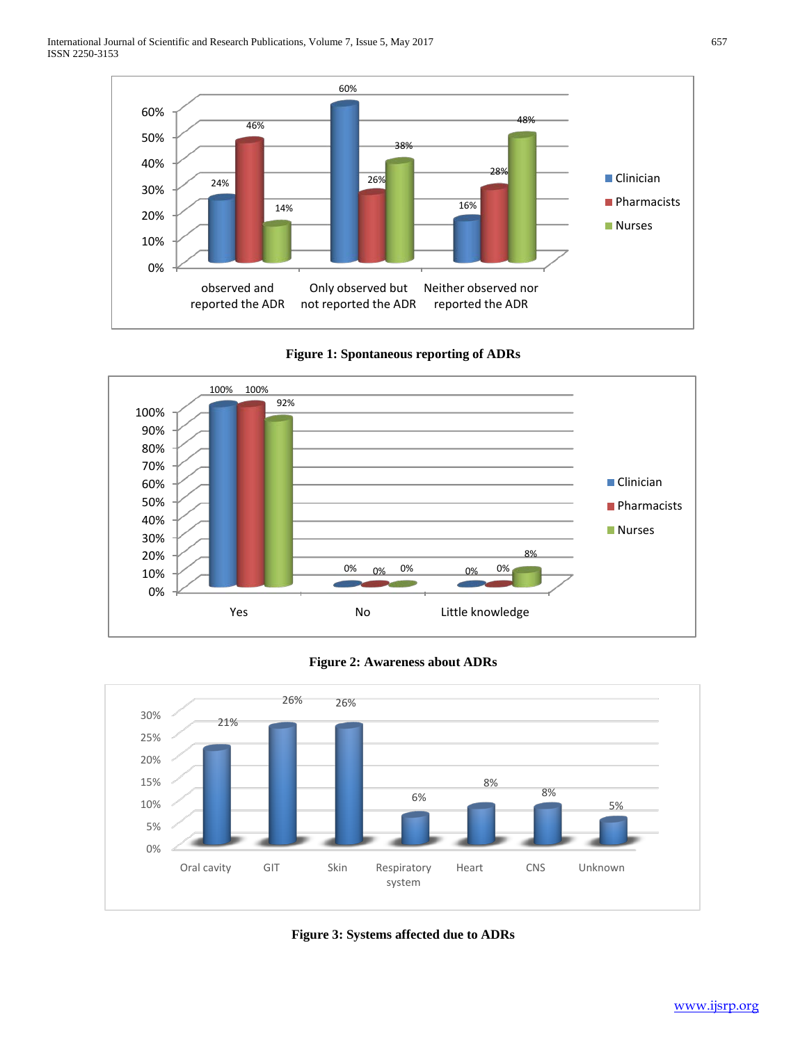









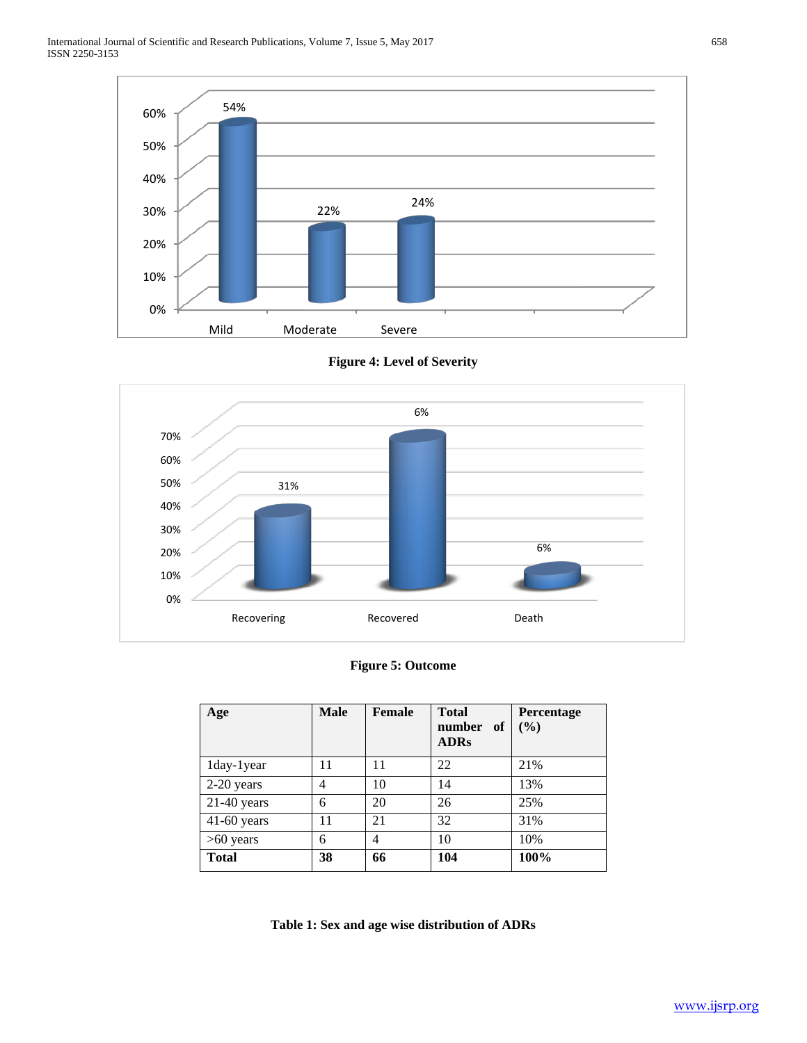



# **Figure 4: Level of Severity**

## **Figure 5: Outcome**

| Age           | <b>Male</b> | <b>Female</b> | <b>Total</b><br>number<br>- of<br><b>ADRs</b> | Percentage<br>(9/0) |
|---------------|-------------|---------------|-----------------------------------------------|---------------------|
| 1day-1year    | 11          | 11            | 22                                            | 21%                 |
| 2-20 years    | 4           | 10            | 14                                            | 13%                 |
| $21-40$ years | 6           | 20            | 26                                            | 25%                 |
| $41-60$ years | 11          | 21            | 32                                            | 31%                 |
| $>60$ years   | 6           | 4             | 10                                            | 10%                 |
| <b>Total</b>  | 38          | 66            | 104                                           | 100%                |

**Table 1: Sex and age wise distribution of ADRs**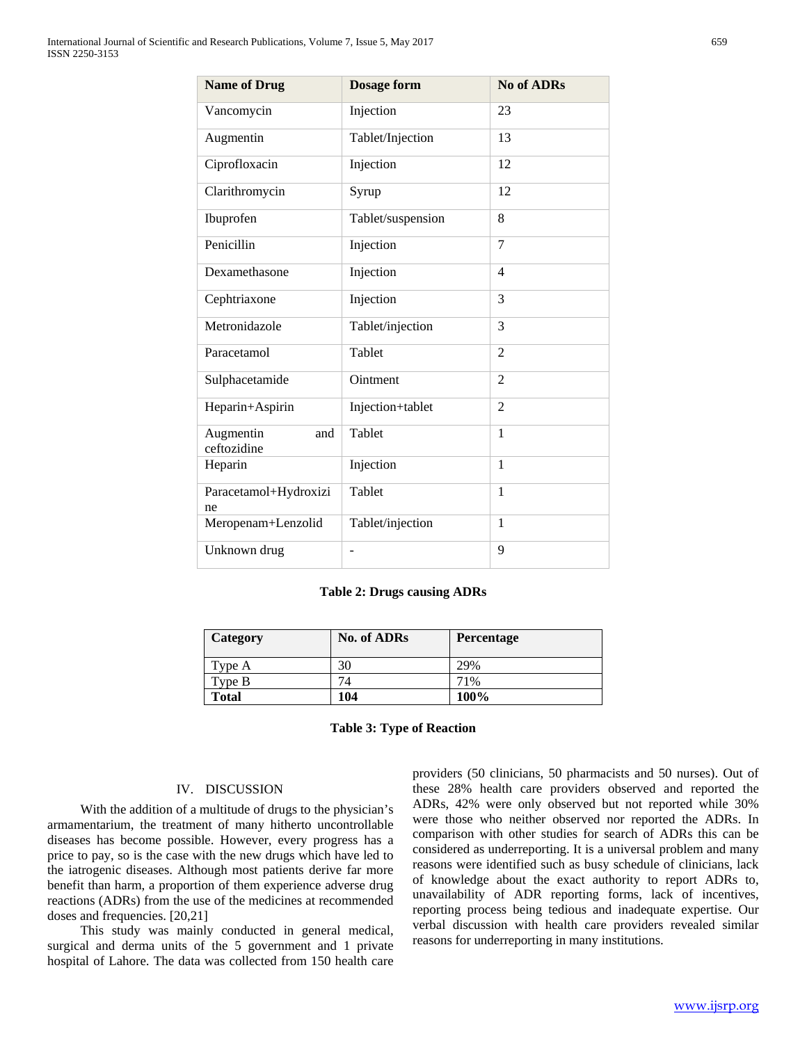| <b>Name of Drug</b>             | <b>Dosage form</b> | <b>No of ADRs</b> |
|---------------------------------|--------------------|-------------------|
| Vancomycin                      | Injection          | 23                |
| Augmentin                       | Tablet/Injection   | 13                |
| Ciprofloxacin                   | Injection          | 12                |
| Clarithromycin                  | Syrup              | 12                |
| Ibuprofen                       | Tablet/suspension  | 8                 |
| Penicillin                      | Injection          | 7                 |
| Dexamethasone                   | Injection          | 4                 |
| Cephtriaxone                    | Injection          | 3                 |
| Metronidazole                   | Tablet/injection   | 3                 |
| Paracetamol                     | Tablet             | 2                 |
| Sulphacetamide                  | Ointment           | $\overline{2}$    |
| Heparin+Aspirin                 | Injection+tablet   | $\overline{2}$    |
| Augmentin<br>and<br>ceftozidine | Tablet             | 1                 |
| Heparin                         | Injection          | 1                 |
| Paracetamol+Hydroxizi<br>ne     | Tablet             | $\mathbf{1}$      |
| Meropenam+Lenzolid              | Tablet/injection   | 1                 |
| Unknown drug                    |                    | 9                 |

#### **Table 2: Drugs causing ADRs**

| <b>Category</b> | <b>No. of ADRs</b> | <b>Percentage</b> |
|-----------------|--------------------|-------------------|
| Type A          | 30                 | 29%               |
| Type B          | 74                 | 71%               |
| <b>Total</b>    | 104                | 100%              |

**Table 3: Type of Reaction**

## IV. DISCUSSION

 With the addition of a multitude of drugs to the physician's armamentarium, the treatment of many hitherto uncontrollable diseases has become possible. However, every progress has a price to pay, so is the case with the new drugs which have led to the iatrogenic diseases. Although most patients derive far more benefit than harm, a proportion of them experience adverse drug reactions (ADRs) from the use of the medicines at recommended doses and frequencies. [20,21]

 This study was mainly conducted in general medical, surgical and derma units of the 5 government and 1 private hospital of Lahore. The data was collected from 150 health care

providers (50 clinicians, 50 pharmacists and 50 nurses). Out of these 28% health care providers observed and reported the ADRs, 42% were only observed but not reported while 30% were those who neither observed nor reported the ADRs. In comparison with other studies for search of ADRs this can be considered as underreporting. It is a universal problem and many reasons were identified such as busy schedule of clinicians, lack of knowledge about the exact authority to report ADRs to, unavailability of ADR reporting forms, lack of incentives, reporting process being tedious and inadequate expertise. Our verbal discussion with health care providers revealed similar reasons for underreporting in many institutions.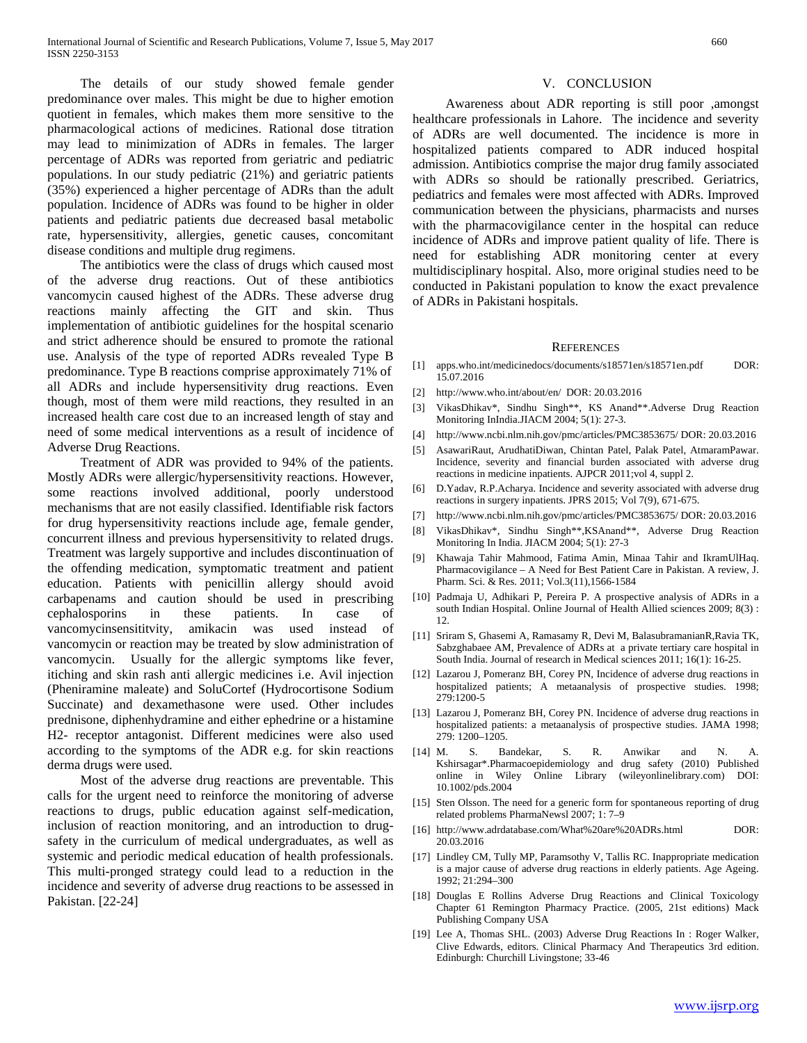The details of our study showed female gender predominance over males. This might be due to higher emotion quotient in females, which makes them more sensitive to the pharmacological actions of medicines. Rational dose titration may lead to minimization of ADRs in females. The larger percentage of ADRs was reported from geriatric and pediatric populations. In our study pediatric (21%) and geriatric patients (35%) experienced a higher percentage of ADRs than the adult population. Incidence of ADRs was found to be higher in older patients and pediatric patients due decreased basal metabolic rate, hypersensitivity, allergies, genetic causes, concomitant disease conditions and multiple drug regimens.

 The antibiotics were the class of drugs which caused most of the adverse drug reactions. Out of these antibiotics vancomycin caused highest of the ADRs. These adverse drug reactions mainly affecting the GIT and skin. Thus implementation of antibiotic guidelines for the hospital scenario and strict adherence should be ensured to promote the rational use. Analysis of the type of reported ADRs revealed Type B predominance. Type B reactions comprise approximately 71% of all ADRs and include hypersensitivity drug reactions. Even though, most of them were mild reactions, they resulted in an increased health care cost due to an increased length of stay and need of some medical interventions as a result of incidence of Adverse Drug Reactions.

 Treatment of ADR was provided to 94% of the patients. Mostly ADRs were allergic/hypersensitivity reactions. However, some reactions involved additional, poorly understood mechanisms that are not easily classified. Identifiable risk factors for drug hypersensitivity reactions include age, female gender, concurrent illness and previous hypersensitivity to related drugs. Treatment was largely supportive and includes discontinuation of the offending medication, symptomatic treatment and patient education. Patients with penicillin allergy should avoid carbapenams and caution should be used in prescribing cephalosporins in these patients. In case of vancomycinsensititvity, amikacin was used instead of vancomycin or reaction may be treated by slow administration of vancomycin. Usually for the allergic symptoms like fever, itiching and skin rash anti allergic medicines i.e. Avil injection (Pheniramine maleate) and SoluCortef (Hydrocortisone Sodium Succinate) and dexamethasone were used. Other includes prednisone, diphenhydramine and either ephedrine or a histamine H2- receptor antagonist. Different medicines were also used according to the symptoms of the ADR e.g. for skin reactions derma drugs were used.

 Most of the adverse drug reactions are preventable. This calls for the urgent need to reinforce the monitoring of adverse reactions to drugs, public education against self-medication, inclusion of reaction monitoring, and an introduction to drugsafety in the curriculum of medical undergraduates, as well as systemic and periodic medical education of health professionals. This multi-pronged strategy could lead to a reduction in the incidence and severity of adverse drug reactions to be assessed in Pakistan. [22-24]

#### V. CONCLUSION

 Awareness about ADR reporting is still poor ,amongst healthcare professionals in Lahore. The incidence and severity of ADRs are well documented. The incidence is more in hospitalized patients compared to ADR induced hospital admission. Antibiotics comprise the major drug family associated with ADRs so should be rationally prescribed. Geriatrics, pediatrics and females were most affected with ADRs. Improved communication between the physicians, pharmacists and nurses with the pharmacovigilance center in the hospital can reduce incidence of ADRs and improve patient quality of life. There is need for establishing ADR monitoring center at every multidisciplinary hospital. Also, more original studies need to be conducted in Pakistani population to know the exact prevalence of ADRs in Pakistani hospitals.

#### **REFERENCES**

- [1] apps.who.int/medicinedocs/documents/s18571en/s18571en.pdf DOR: 15.07.2016
- [2] http://www.who.int/about/en/ DOR: 20.03.2016
- [3] VikasDhikav\*, Sindhu Singh\*\*, KS Anand\*\*.Adverse Drug Reaction Monitoring InIndia.JIACM 2004; 5(1): 27-3.
- [4] http://www.ncbi.nlm.nih.gov/pmc/articles/PMC3853675/ DOR: 20.03.2016
- [5] AsawariRaut, ArudhatiDiwan, Chintan Patel, Palak Patel, AtmaramPawar. Incidence, severity and financial burden associated with adverse drug reactions in medicine inpatients. AJPCR 2011;vol 4, suppl 2.
- [6] D.Yadav, R.P.Acharya. Incidence and severity associated with adverse drug reactions in surgery inpatients. JPRS 2015; Vol 7(9), 671-675.
- [7] http://www.ncbi.nlm.nih.gov/pmc/articles/PMC3853675/ DOR: 20.03.2016
- [8] VikasDhikav\*, Sindhu Singh\*\*,KSAnand\*\*, Adverse Drug Reaction Monitoring In India. JIACM 2004; 5(1): 27-3
- [9] Khawaja Tahir Mahmood, Fatima Amin, Minaa Tahir and IkramUlHaq. Pharmacovigilance – A Need for Best Patient Care in Pakistan. A review, J. Pharm. Sci. & Res. 2011; Vol.3(11),1566-1584
- [10] Padmaja U, Adhikari P, Pereira P. A prospective analysis of ADRs in a south Indian Hospital. Online Journal of Health Allied sciences 2009; 8(3) : 12.
- [11] Sriram S, Ghasemi A, Ramasamy R, Devi M, BalasubramanianR,Ravia TK, Sabzghabaee AM, Prevalence of ADRs at a private tertiary care hospital in South India. Journal of research in Medical sciences 2011; 16(1): 16-25.
- [12] Lazarou J, Pomeranz BH, Corey PN, Incidence of adverse drug reactions in hospitalized patients; A metaanalysis of prospective studies. 1998; 279:1200-5
- [13] Lazarou J, Pomeranz BH, Corey PN. Incidence of adverse drug reactions in hospitalized patients: a metaanalysis of prospective studies. JAMA 1998; 279: 1200–1205.
- [14] M. S. Bandekar, S. R. Anwikar and N. A. Kshirsagar\*.Pharmacoepidemiology and drug safety (2010) Published online in Wiley Online Library (wileyonlinelibrary.com) DOI: 10.1002/pds.2004
- [15] Sten Olsson. The need for a generic form for spontaneous reporting of drug related problems PharmaNewsl 2007; 1: 7–9
- [16] http://www.adrdatabase.com/What%20are%20ADRs.html DOR: 20.03.2016
- [17] Lindley CM, Tully MP, Paramsothy V, Tallis RC. Inappropriate medication is a major cause of adverse drug reactions in elderly patients. Age Ageing. 1992; 21:294–300
- [18] Douglas E Rollins Adverse Drug Reactions and Clinical Toxicology Chapter 61 Remington Pharmacy Practice. (2005, 21st editions) Mack Publishing Company USA
- [19] Lee A, Thomas SHL. (2003) Adverse Drug Reactions In : Roger Walker, Clive Edwards, editors. Clinical Pharmacy And Therapeutics 3rd edition. Edinburgh: Churchill Livingstone; 33-46